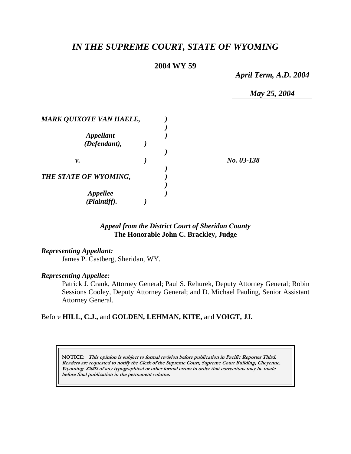# *IN THE SUPREME COURT, STATE OF WYOMING*

# **2004 WY 59**

*April Term, A.D. 2004* 

*May 25, 2004* 

| <b>MARK QUIXOTE VAN HAELE,</b> |  |            |
|--------------------------------|--|------------|
| <b>Appellant</b>               |  |            |
| (Defendant),                   |  |            |
| ν.                             |  | No. 03-138 |
| THE STATE OF WYOMING,          |  |            |
| Appellee<br>(Plaintiff).       |  |            |

# *Appeal from the District Court of Sheridan County* **The Honorable John C. Brackley, Judge**

#### *Representing Appellant:*

James P. Castberg, Sheridan, WY.

#### *Representing Appellee:*

Patrick J. Crank, Attorney General; Paul S. Rehurek, Deputy Attorney General; Robin Sessions Cooley, Deputy Attorney General; and D. Michael Pauling, Senior Assistant Attorney General.

### Before **HILL, C.J.,** and **GOLDEN, LEHMAN, KITE,** and **VOIGT, JJ.**

**NOTICE: This opinion is subject to formal revision before publication in Pacific Reporter Third. Readers are requested to notify the Clerk of the Supreme Court, Supreme Court Building, Cheyenne, Wyoming 82002 of any typographical or other formal errors in order that corrections may be made before final publication in the permanent volume.**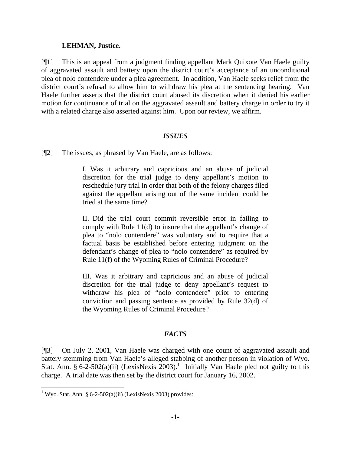#### **LEHMAN, Justice.**

[¶1] This is an appeal from a judgment finding appellant Mark Quixote Van Haele guilty of aggravated assault and battery upon the district court's acceptance of an unconditional plea of nolo contendere under a plea agreement. In addition, Van Haele seeks relief from the district court's refusal to allow him to withdraw his plea at the sentencing hearing. Van Haele further asserts that the district court abused its discretion when it denied his earlier motion for continuance of trial on the aggravated assault and battery charge in order to try it with a related charge also asserted against him. Upon our review, we affirm.

### *ISSUES*

[¶2] The issues, as phrased by Van Haele, are as follows:

I. Was it arbitrary and capricious and an abuse of judicial discretion for the trial judge to deny appellant's motion to reschedule jury trial in order that both of the felony charges filed against the appellant arising out of the same incident could be tried at the same time?

II. Did the trial court commit reversible error in failing to comply with Rule 11(d) to insure that the appellant's change of plea to "nolo contendere" was voluntary and to require that a factual basis be established before entering judgment on the defendant's change of plea to "nolo contendere" as required by Rule 11(f) of the Wyoming Rules of Criminal Procedure?

III. Was it arbitrary and capricious and an abuse of judicial discretion for the trial judge to deny appellant's request to withdraw his plea of "nolo contendere" prior to entering conviction and passing sentence as provided by Rule 32(d) of the Wyoming Rules of Criminal Procedure?

### *FACTS*

[¶3] On July 2, 2001, Van Haele was charged with one count of aggravated assault and battery stemming from Van Haele's alleged stabbing of another person in violation of Wyo. Stat. Ann. § 6-2-502(a)(ii) (LexisNexis 2003).<sup>1</sup> Initially Van Haele pled not guilty to this charge. A trial date was then set by the district court for January 16, 2002.

 $\overline{a}$ 

<sup>&</sup>lt;sup>1</sup> Wyo. Stat. Ann. § 6-2-502(a)(ii) (LexisNexis 2003) provides: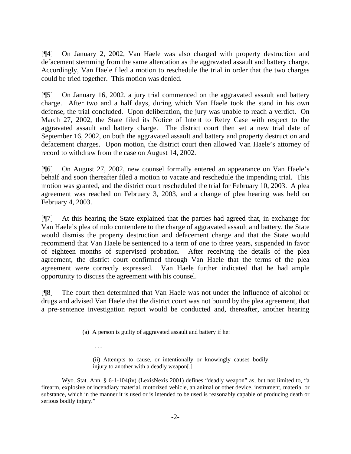[¶4] On January 2, 2002, Van Haele was also charged with property destruction and defacement stemming from the same altercation as the aggravated assault and battery charge. Accordingly, Van Haele filed a motion to reschedule the trial in order that the two charges could be tried together. This motion was denied.

[¶5] On January 16, 2002, a jury trial commenced on the aggravated assault and battery charge. After two and a half days, during which Van Haele took the stand in his own defense, the trial concluded. Upon deliberation, the jury was unable to reach a verdict. On March 27, 2002, the State filed its Notice of Intent to Retry Case with respect to the aggravated assault and battery charge. The district court then set a new trial date of September 16, 2002, on both the aggravated assault and battery and property destruction and defacement charges. Upon motion, the district court then allowed Van Haele's attorney of record to withdraw from the case on August 14, 2002.

[¶6] On August 27, 2002, new counsel formally entered an appearance on Van Haele's behalf and soon thereafter filed a motion to vacate and reschedule the impending trial. This motion was granted, and the district court rescheduled the trial for February 10, 2003. A plea agreement was reached on February 3, 2003, and a change of plea hearing was held on February 4, 2003.

[¶7] At this hearing the State explained that the parties had agreed that, in exchange for Van Haele's plea of nolo contendere to the charge of aggravated assault and battery, the State would dismiss the property destruction and defacement charge and that the State would recommend that Van Haele be sentenced to a term of one to three years, suspended in favor of eighteen months of supervised probation. After receiving the details of the plea agreement, the district court confirmed through Van Haele that the terms of the plea agreement were correctly expressed. Van Haele further indicated that he had ample opportunity to discuss the agreement with his counsel.

[¶8] The court then determined that Van Haele was not under the influence of alcohol or drugs and advised Van Haele that the district court was not bound by the plea agreement, that a pre-sentence investigation report would be conducted and, thereafter, another hearing

 $\overline{a}$ 

. . .

(ii) Attempts to cause, or intentionally or knowingly causes bodily injury to another with a deadly weapon[.]

<sup>(</sup>a) A person is guilty of aggravated assault and battery if he:

Wyo. Stat. Ann. § 6-1-104(iv) (LexisNexis 2001) defines "deadly weapon" as, but not limited to, "a firearm, explosive or incendiary material, motorized vehicle, an animal or other device, instrument, material or substance, which in the manner it is used or is intended to be used is reasonably capable of producing death or serious bodily injury."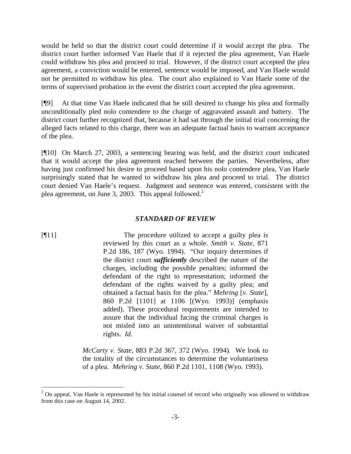would be held so that the district court could determine if it would accept the plea. The district court further informed Van Haele that if it rejected the plea agreement, Van Haele could withdraw his plea and proceed to trial. However, if the district court accepted the plea agreement, a conviction would be entered, sentence would be imposed, and Van Haele would not be permitted to withdraw his plea. The court also explained to Van Haele some of the terms of supervised probation in the event the district court accepted the plea agreement.

[¶9] At that time Van Haele indicated that he still desired to change his plea and formally unconditionally pled nolo contendere to the charge of aggravated assault and battery. The district court further recognized that, because it had sat through the initial trial concerning the alleged facts related to this charge, there was an adequate factual basis to warrant acceptance of the plea.

[¶10] On March 27, 2003, a sentencing hearing was held, and the district court indicated that it would accept the plea agreement reached between the parties. Nevertheless, after having just confirmed his desire to proceed based upon his nolo contendere plea, Van Haele surprisingly stated that he wanted to withdraw his plea and proceed to trial. The district court denied Van Haele's request. Judgment and sentence was entered, consistent with the plea agreement, on June 3, 2003. This appeal followed.<sup>2</sup>

### *STANDARD OF REVIEW*

 $\overline{a}$ 

[¶11] The procedure utilized to accept a guilty plea is reviewed by this court as a whole. *Smith v. State*, 871 P.2d 186, 187 (Wyo. 1994). "Our inquiry determines if the district court *sufficiently* described the nature of the charges, including the possible penalties; informed the defendant of the right to representation; informed the defendant of the rights waived by a guilty plea; and obtained a factual basis for the plea." *Mehring* [*v. State*], 860 P.2d [1101] at 1106 [(Wyo. 1993)] (emphasis added). These procedural requirements are intended to assure that the individual facing the criminal charges is not misled into an unintentional waiver of substantial rights. *Id.*

> *McCarty v. State*, 883 P.2d 367, 372 (Wyo. 1994). We look to the totality of the circumstances to determine the voluntariness of a plea. *Mehring v. State*, 860 P.2d 1101, 1108 (Wyo. 1993).

 $2$  On appeal, Van Haele is represented by his initial counsel of record who originally was allowed to withdraw from this case on August 14, 2002.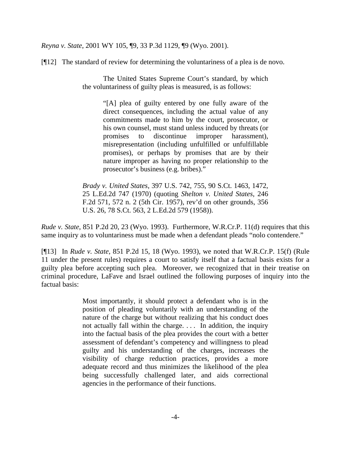*Reyna v. State*, 2001 WY 105, ¶9, 33 P.3d 1129, ¶9 (Wyo. 2001).

[¶12] The standard of review for determining the voluntariness of a plea is de novo.

 The United States Supreme Court's standard, by which the voluntariness of guilty pleas is measured, is as follows:

> "[A] plea of guilty entered by one fully aware of the direct consequences, including the actual value of any commitments made to him by the court, prosecutor, or his own counsel, must stand unless induced by threats (or promises to discontinue improper harassment), misrepresentation (including unfulfilled or unfulfillable promises), or perhaps by promises that are by their nature improper as having no proper relationship to the prosecutor's business (e.g. bribes)."

*Brady v. United States*, 397 U.S. 742, 755, 90 S.Ct. 1463, 1472, 25 L.Ed.2d 747 (1970) (quoting *Shelton v. United States*, 246 F.2d 571, 572 n. 2 (5th Cir. 1957), rev'd on other grounds, 356 U.S. 26, 78 S.Ct. 563, 2 L.Ed.2d 579 (1958)).

*Rude v. State*, 851 P.2d 20, 23 (Wyo. 1993). Furthermore, W.R.Cr.P. 11(d) requires that this same inquiry as to voluntariness must be made when a defendant pleads "nolo contendere."

[¶13] In *Rude v. State*, 851 P.2d 15, 18 (Wyo. 1993), we noted that W.R.Cr.P. 15(f) (Rule 11 under the present rules) requires a court to satisfy itself that a factual basis exists for a guilty plea before accepting such plea. Moreover, we recognized that in their treatise on criminal procedure, LaFave and Israel outlined the following purposes of inquiry into the factual basis:

> Most importantly, it should protect a defendant who is in the position of pleading voluntarily with an understanding of the nature of the charge but without realizing that his conduct does not actually fall within the charge. . . . In addition, the inquiry into the factual basis of the plea provides the court with a better assessment of defendant's competency and willingness to plead guilty and his understanding of the charges, increases the visibility of charge reduction practices, provides a more adequate record and thus minimizes the likelihood of the plea being successfully challenged later, and aids correctional agencies in the performance of their functions.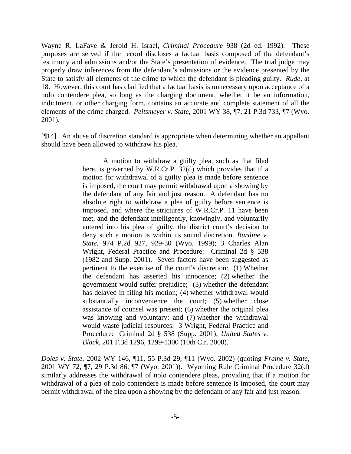Wayne R. LaFave & Jerold H. Israel, *Criminal Procedure* 938 (2d ed. 1992). These purposes are served if the record discloses a factual basis composed of the defendant's testimony and admissions and/or the State's presentation of evidence. The trial judge may properly draw inferences from the defendant's admissions or the evidence presented by the State to satisfy all elements of the crime to which the defendant is pleading guilty. *Rude*, at 18.However, this court has clarified that a factual basis is unnecessary upon acceptance of a nolo contendere plea, so long as the charging document, whether it be an information, indictment, or other charging form, contains an accurate and complete statement of all the elements of the crime charged. *Peitsmeyer v. State*, 2001 WY 38, ¶7, 21 P.3d 733, ¶7 (Wyo. 2001).

[¶14] An abuse of discretion standard is appropriate when determining whether an appellant should have been allowed to withdraw his plea.

> A motion to withdraw a guilty plea, such as that filed here, is governed by W.R.Cr.P. 32(d) which provides that if a motion for withdrawal of a guilty plea is made before sentence is imposed, the court may permit withdrawal upon a showing by the defendant of any fair and just reason. A defendant has no absolute right to withdraw a plea of guilty before sentence is imposed, and where the strictures of W.R.Cr.P. 11 have been met, and the defendant intelligently, knowingly, and voluntarily entered into his plea of guilty, the district court's decision to deny such a motion is within its sound discretion. *Burdine v. State*, 974 P.2d 927, 929-30 (Wyo. 1999); 3 Charles Alan Wright, Federal Practice and Procedure: Criminal 2d § 538 (1982 and Supp. 2001). Seven factors have been suggested as pertinent to the exercise of the court's discretion: (1) Whether the defendant has asserted his innocence; (2) whether the government would suffer prejudice; (3) whether the defendant has delayed in filing his motion; (4) whether withdrawal would substantially inconvenience the court; (5) whether close assistance of counsel was present; (6) whether the original plea was knowing and voluntary; and (7) whether the withdrawal would waste judicial resources. 3 Wright, Federal Practice and Procedure: Criminal 2d § 538 (Supp. 2001); *United States v. Black*, 201 F.3d 1296, 1299-1300 (10th Cir. 2000).

*Doles v. State*, 2002 WY 146, ¶11, 55 P.3d 29, ¶11 (Wyo. 2002) (quoting *Frame v. State*, 2001 WY 72, ¶7, 29 P.3d 86, ¶7 (Wyo. 2001)). Wyoming Rule Criminal Procedure 32(d) similarly addresses the withdrawal of nolo contendere pleas, providing that if a motion for withdrawal of a plea of nolo contendere is made before sentence is imposed, the court may permit withdrawal of the plea upon a showing by the defendant of any fair and just reason.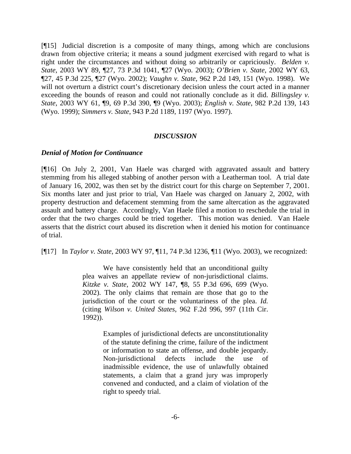[¶15] Judicial discretion is a composite of many things, among which are conclusions drawn from objective criteria; it means a sound judgment exercised with regard to what is right under the circumstances and without doing so arbitrarily or capriciously. *Belden v. State*, 2003 WY 89, ¶27, 73 P.3d 1041, ¶27 (Wyo. 2003); *O'Brien v. State*, 2002 WY 63, ¶27, 45 P.3d 225, ¶27 (Wyo. 2002); *Vaughn v. State*, 962 P.2d 149, 151 (Wyo. 1998). We will not overturn a district court's discretionary decision unless the court acted in a manner exceeding the bounds of reason and could not rationally conclude as it did. *Billingsley v. State*, 2003 WY 61, ¶9, 69 P.3d 390, ¶9 (Wyo. 2003); *English v. State*, 982 P.2d 139, 143 (Wyo. 1999); *Simmers v. State*, 943 P.2d 1189, 1197 (Wyo. 1997).

#### *DISCUSSION*

#### *Denial of Motion for Continuance*

[¶16] On July 2, 2001, Van Haele was charged with aggravated assault and battery stemming from his alleged stabbing of another person with a Leatherman tool. A trial date of January 16, 2002, was then set by the district court for this charge on September 7, 2001. Six months later and just prior to trial, Van Haele was charged on January 2, 2002, with property destruction and defacement stemming from the same altercation as the aggravated assault and battery charge. Accordingly, Van Haele filed a motion to reschedule the trial in order that the two charges could be tried together. This motion was denied. Van Haele asserts that the district court abused its discretion when it denied his motion for continuance of trial.

[¶17] In *Taylor v. State*, 2003 WY 97, ¶11, 74 P.3d 1236, ¶11 (Wyo. 2003), we recognized:

We have consistently held that an unconditional guilty plea waives an appellate review of non-jurisdictional claims. *Kitzke v. State*, 2002 WY 147, ¶8, 55 P.3d 696, 699 (Wyo. 2002). The only claims that remain are those that go to the jurisdiction of the court or the voluntariness of the plea. *Id.* (citing *Wilson v. United States*, 962 F.2d 996, 997 (11th Cir. 1992)).

> Examples of jurisdictional defects are unconstitutionality of the statute defining the crime, failure of the indictment or information to state an offense, and double jeopardy. Non-jurisdictional defects include the use of inadmissible evidence, the use of unlawfully obtained statements, a claim that a grand jury was improperly convened and conducted, and a claim of violation of the right to speedy trial.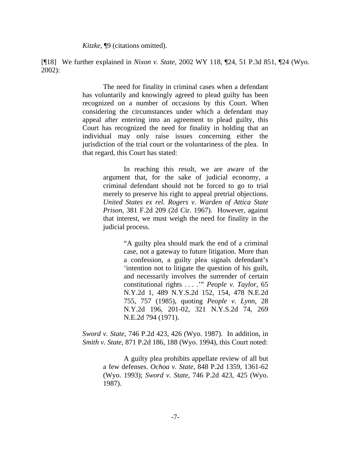*Kitzke*, ¶9 (citations omitted).

[¶18] We further explained in *Nixon v. State*, 2002 WY 118, ¶24, 51 P.3d 851, ¶24 (Wyo. 2002):

> The need for finality in criminal cases when a defendant has voluntarily and knowingly agreed to plead guilty has been recognized on a number of occasions by this Court. When considering the circumstances under which a defendant may appeal after entering into an agreement to plead guilty, this Court has recognized the need for finality in holding that an individual may only raise issues concerning either the jurisdiction of the trial court or the voluntariness of the plea. In that regard, this Court has stated:

> > In reaching this result, we are aware of the argument that, for the sake of judicial economy, a criminal defendant should not be forced to go to trial merely to preserve his right to appeal pretrial objections. *United States ex rel. Rogers v. Warden of Attica State Prison*, 381 F.2d 209 (2d Cir. 1967). However, against that interest, we must weigh the need for finality in the judicial process.

> > > "A guilty plea should mark the end of a criminal case, not a gateway to future litigation. More than a confession, a guilty plea signals defendant's 'intention not to litigate the question of his guilt, and necessarily involves the surrender of certain constitutional rights . . . .'" *People v. Taylor*, 65 N.Y.2d 1, 489 N.Y.S.2d 152, 154, 478 N.E.2d 755, 757 (1985), quoting *People v. Lynn*, 28 N.Y.2d 196, 201-02, 321 N.Y.S.2d 74, 269 N.E.2d 794 (1971).

*Sword v. State*, 746 P.2d 423, 426 (Wyo. 1987). In addition, in *Smith v. State*, 871 P.2d 186, 188 (Wyo. 1994), this Court noted:

> A guilty plea prohibits appellate review of all but a few defenses. *Ochoa v. State*, 848 P.2d 1359, 1361-62 (Wyo. 1993); *Sword v. State*, 746 P.2d 423, 425 (Wyo. 1987).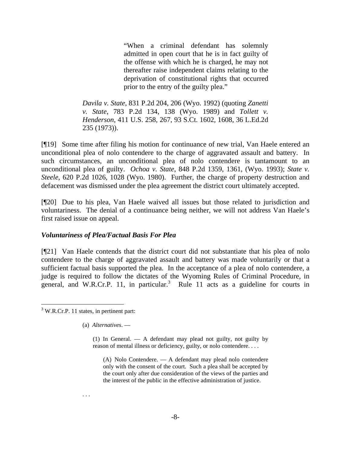"When a criminal defendant has solemnly admitted in open court that he is in fact guilty of the offense with which he is charged, he may not thereafter raise independent claims relating to the deprivation of constitutional rights that occurred prior to the entry of the guilty plea."

*Davila v. State*, 831 P.2d 204, 206 (Wyo. 1992) (quoting *Zanetti v. State*, 783 P.2d 134, 138 (Wyo. 1989) and *Tollett v. Henderson*, 411 U.S. 258, 267, 93 S.Ct. 1602, 1608, 36 L.Ed.2d 235 (1973)).

[¶19] Some time after filing his motion for continuance of new trial, Van Haele entered an unconditional plea of nolo contendere to the charge of aggravated assault and battery. In such circumstances, an unconditional plea of nolo contendere is tantamount to an unconditional plea of guilty. *Ochoa v. State*, 848 P.2d 1359, 1361, (Wyo. 1993); *State v. Steele*, 620 P.2d 1026, 1028 (Wyo. 1980). Further, the charge of property destruction and defacement was dismissed under the plea agreement the district court ultimately accepted.

[¶20] Due to his plea, Van Haele waived all issues but those related to jurisdiction and voluntariness. The denial of a continuance being neither, we will not address Van Haele's first raised issue on appeal.

# *Voluntariness of Plea/Factual Basis For Plea*

[¶21] Van Haele contends that the district court did not substantiate that his plea of nolo contendere to the charge of aggravated assault and battery was made voluntarily or that a sufficient factual basis supported the plea. In the acceptance of a plea of nolo contendere, a judge is required to follow the dictates of the Wyoming Rules of Criminal Procedure, in general, and W.R.Cr.P. 11, in particular.<sup>3</sup> Rule 11 acts as a guideline for courts in

l  $3$  W.R.Cr.P. 11 states, in pertinent part:

(a) *Alternatives*. —

(1) In General. — A defendant may plead not guilty, not guilty by reason of mental illness or deficiency, guilty, or nolo contendere. . . .

(A) Nolo Contendere. — A defendant may plead nolo contendere only with the consent of the court. Such a plea shall be accepted by the court only after due consideration of the views of the parties and the interest of the public in the effective administration of justice.

#### . . .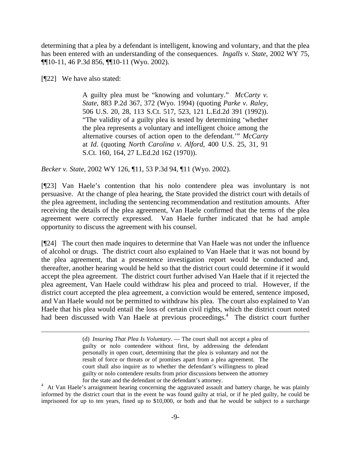determining that a plea by a defendant is intelligent, knowing and voluntary, and that the plea has been entered with an understanding of the consequences. *Ingalls v. State*, 2002 WY 75, ¶¶10-11, 46 P.3d 856, ¶¶10-11 (Wyo. 2002).

[¶22] We have also stated:

A guilty plea must be "knowing and voluntary." *McCarty v. State*, 883 P.2d 367, 372 (Wyo. 1994) (quoting *Parke v. Raley*, 506 U.S. 20, 28, 113 S.Ct. 517, 523, 121 L.Ed.2d 391 (1992)). "The validity of a guilty plea is tested by determining 'whether the plea represents a voluntary and intelligent choice among the alternative courses of action open to the defendant.'" *McCarty* at *Id*. (quoting *North Carolina v. Alford*, 400 U.S. 25, 31, 91 S.Ct. 160, 164, 27 L.Ed.2d 162 (1970)).

*Becker v. State*, 2002 WY 126, ¶11, 53 P.3d 94, ¶11 (Wyo. 2002).

[¶23] Van Haele's contention that his nolo contendere plea was involuntary is not persuasive. At the change of plea hearing, the State provided the district court with details of the plea agreement, including the sentencing recommendation and restitution amounts. After receiving the details of the plea agreement, Van Haele confirmed that the terms of the plea agreement were correctly expressed. Van Haele further indicated that he had ample opportunity to discuss the agreement with his counsel.

[¶24] The court then made inquires to determine that Van Haele was not under the influence of alcohol or drugs. The district court also explained to Van Haele that it was not bound by the plea agreement, that a presentence investigation report would be conducted and, thereafter, another hearing would be held so that the district court could determine if it would accept the plea agreement. The district court further advised Van Haele that if it rejected the plea agreement, Van Haele could withdraw his plea and proceed to trial. However, if the district court accepted the plea agreement, a conviction would be entered, sentence imposed, and Van Haele would not be permitted to withdraw his plea. The court also explained to Van Haele that his plea would entail the loss of certain civil rights, which the district court noted had been discussed with Van Haele at previous proceedings.<sup>4</sup> The district court further

<sup>4</sup> At Van Haele's arraignment hearing concerning the aggravated assault and battery charge, he was plainly informed by the district court that in the event he was found guilty at trial, or if he pled guilty, he could be imprisoned for up to ten years, fined up to \$10,000, or both and that he would be subject to a surcharge

<sup>(</sup>d) *Insuring That Plea Is Voluntary*. — The court shall not accept a plea of guilty or nolo contendere without first, by addressing the defendant personally in open court, determining that the plea is voluntary and not the result of force or threats or of promises apart from a plea agreement. The court shall also inquire as to whether the defendant's willingness to plead guilty or nolo contendere results from prior discussions between the attorney for the state and the defendant or the defendant's attorney.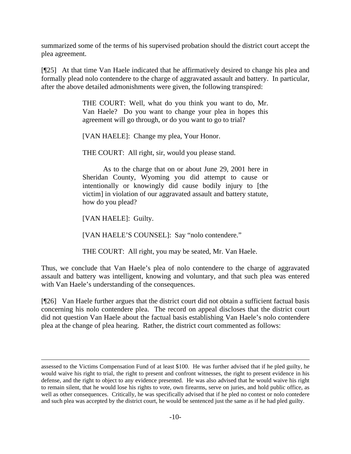summarized some of the terms of his supervised probation should the district court accept the plea agreement.

[¶25] At that time Van Haele indicated that he affirmatively desired to change his plea and formally plead nolo contendere to the charge of aggravated assault and battery. In particular, after the above detailed admonishments were given, the following transpired:

> THE COURT: Well, what do you think you want to do, Mr. Van Haele? Do you want to change your plea in hopes this agreement will go through, or do you want to go to trial?

[VAN HAELE]: Change my plea, Your Honor.

THE COURT: All right, sir, would you please stand.

 As to the charge that on or about June 29, 2001 here in Sheridan County, Wyoming you did attempt to cause or intentionally or knowingly did cause bodily injury to [the victim] in violation of our aggravated assault and battery statute, how do you plead?

[VAN HAELE]: Guilty.

[VAN HAELE'S COUNSEL]: Say "nolo contendere."

THE COURT: All right, you may be seated, Mr. Van Haele.

Thus, we conclude that Van Haele's plea of nolo contendere to the charge of aggravated assault and battery was intelligent, knowing and voluntary, and that such plea was entered with Van Haele's understanding of the consequences.

[¶26] Van Haele further argues that the district court did not obtain a sufficient factual basis concerning his nolo contendere plea. The record on appeal discloses that the district court did not question Van Haele about the factual basis establishing Van Haele's nolo contendere plea at the change of plea hearing. Rather, the district court commented as follows:

assessed to the Victims Compensation Fund of at least \$100. He was further advised that if he pled guilty, he would waive his right to trial, the right to present and confront witnesses, the right to present evidence in his defense, and the right to object to any evidence presented. He was also advised that he would waive his right to remain silent, that he would lose his rights to vote, own firearms, serve on juries, and hold public office, as well as other consequences. Critically, he was specifically advised that if he pled no contest or nolo contedere and such plea was accepted by the district court, he would be sentenced just the same as if he had pled guilty.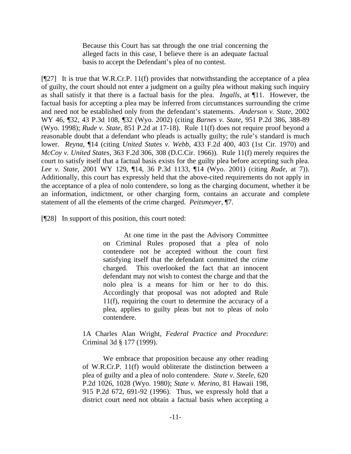Because this Court has sat through the one trial concerning the alleged facts in this case, I believe there is an adequate factual basis to accept the Defendant's plea of no contest.

 $[$ [[27] It is true that W.R.Cr.P. 11(f) provides that notwithstanding the acceptance of a plea of guilty, the court should not enter a judgment on a guilty plea without making such inquiry as shall satisfy it that there is a factual basis for the plea. *Ingalls*, at ¶11. However, the factual basis for accepting a plea may be inferred from circumstances surrounding the crime and need not be established only from the defendant's statements. *Anderson v. State*, 2002 WY 46, ¶32, 43 P.3d 108, ¶32 (Wyo. 2002) (citing *Barnes v. State*, 951 P.2d 386, 388-89 (Wyo. 1998); *Rude v. State*, 851 P.2d at 17-18). Rule 11(f) does not require proof beyond a reasonable doubt that a defendant who pleads is actually guilty; the rule's standard is much lower. *Reyna*, ¶14 (citing *United States v. Webb*, 433 F.2d 400, 403 (1st Cir. 1970) and *McCoy v. United States*, 363 F.2d 306, 308 (D.C.Cir. 1966)). Rule 11(f) merely requires the court to satisfy itself that a factual basis exists for the guilty plea before accepting such plea. *Lee v. State*, 2001 WY 129, ¶14, 36 P.3d 1133, ¶14 (Wyo. 2001) (citing *Rude*, at 7)). Additionally, this court has expressly held that the above-cited requirements do not apply in the acceptance of a plea of nolo contendere, so long as the charging document, whether it be an information, indictment, or other charging form, contains an accurate and complete statement of all the elements of the crime charged. *Peitsmeyer*, ¶7.

[¶28] In support of this position, this court noted:

 At one time in the past the Advisory Committee on Criminal Rules proposed that a plea of nolo contendere not be accepted without the court first satisfying itself that the defendant committed the crime charged. This overlooked the fact that an innocent defendant may not wish to contest the charge and that the nolo plea is a means for him or her to do this. Accordingly that proposal was not adopted and Rule 11(f), requiring the court to determine the accuracy of a plea, applies to guilty pleas but not to pleas of nolo contendere.

1A Charles Alan Wright, *Federal Practice and Procedure*: Criminal 3d § 177 (1999).

 We embrace that proposition because any other reading of W.R.Cr.P. 11(f) would obliterate the distinction between a plea of guilty and a plea of nolo contendere. *State v. Steele*, 620 P.2d 1026, 1028 (Wyo. 1980); *State v. Merino*, 81 Hawaii 198, 915 P.2d 672, 691-92 (1996). Thus, we expressly hold that a district court need not obtain a factual basis when accepting a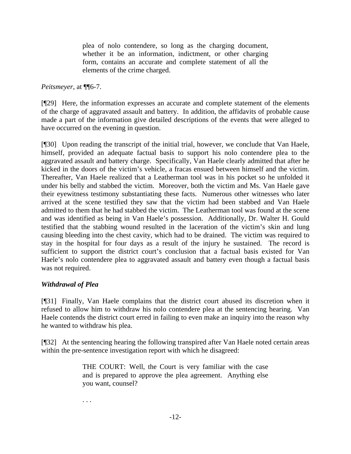plea of nolo contendere, so long as the charging document, whether it be an information, indictment, or other charging form, contains an accurate and complete statement of all the elements of the crime charged.

*Peitsmeyer*, at ¶¶6-7.

[¶29] Here, the information expresses an accurate and complete statement of the elements of the charge of aggravated assault and battery. In addition, the affidavits of probable cause made a part of the information give detailed descriptions of the events that were alleged to have occurred on the evening in question.

[¶30] Upon reading the transcript of the initial trial, however, we conclude that Van Haele, himself, provided an adequate factual basis to support his nolo contendere plea to the aggravated assault and battery charge. Specifically, Van Haele clearly admitted that after he kicked in the doors of the victim's vehicle, a fracas ensued between himself and the victim. Thereafter, Van Haele realized that a Leatherman tool was in his pocket so he unfolded it under his belly and stabbed the victim. Moreover, both the victim and Ms. Van Haele gave their eyewitness testimony substantiating these facts. Numerous other witnesses who later arrived at the scene testified they saw that the victim had been stabbed and Van Haele admitted to them that he had stabbed the victim. The Leatherman tool was found at the scene and was identified as being in Van Haele's possession. Additionally, Dr. Walter H. Gould testified that the stabbing wound resulted in the laceration of the victim's skin and lung causing bleeding into the chest cavity, which had to be drained. The victim was required to stay in the hospital for four days as a result of the injury he sustained. The record is sufficient to support the district court's conclusion that a factual basis existed for Van Haele's nolo contendere plea to aggravated assault and battery even though a factual basis was not required.

# *Withdrawal of Plea*

. . .

[¶31] Finally, Van Haele complains that the district court abused its discretion when it refused to allow him to withdraw his nolo contendere plea at the sentencing hearing. Van Haele contends the district court erred in failing to even make an inquiry into the reason why he wanted to withdraw his plea.

[¶32] At the sentencing hearing the following transpired after Van Haele noted certain areas within the pre-sentence investigation report with which he disagreed:

> THE COURT: Well, the Court is very familiar with the case and is prepared to approve the plea agreement. Anything else you want, counsel?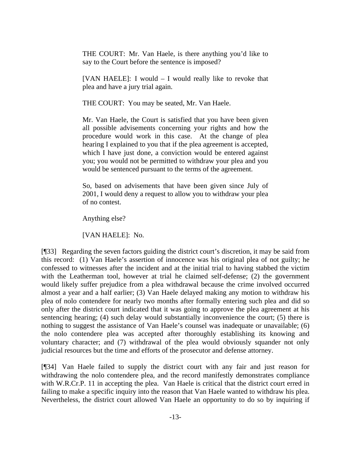THE COURT: Mr. Van Haele, is there anything you'd like to say to the Court before the sentence is imposed?

[VAN HAELE]: I would – I would really like to revoke that plea and have a jury trial again.

THE COURT: You may be seated, Mr. Van Haele.

Mr. Van Haele, the Court is satisfied that you have been given all possible advisements concerning your rights and how the procedure would work in this case. At the change of plea hearing I explained to you that if the plea agreement is accepted, which I have just done, a conviction would be entered against you; you would not be permitted to withdraw your plea and you would be sentenced pursuant to the terms of the agreement.

So, based on advisements that have been given since July of 2001, I would deny a request to allow you to withdraw your plea of no contest.

Anything else?

[VAN HAELE]: No.

[¶33] Regarding the seven factors guiding the district court's discretion, it may be said from this record: (1) Van Haele's assertion of innocence was his original plea of not guilty; he confessed to witnesses after the incident and at the initial trial to having stabbed the victim with the Leatherman tool, however at trial he claimed self-defense; (2) the government would likely suffer prejudice from a plea withdrawal because the crime involved occurred almost a year and a half earlier; (3) Van Haele delayed making any motion to withdraw his plea of nolo contendere for nearly two months after formally entering such plea and did so only after the district court indicated that it was going to approve the plea agreement at his sentencing hearing; (4) such delay would substantially inconvenience the court; (5) there is nothing to suggest the assistance of Van Haele's counsel was inadequate or unavailable; (6) the nolo contendere plea was accepted after thoroughly establishing its knowing and voluntary character; and (7) withdrawal of the plea would obviously squander not only judicial resources but the time and efforts of the prosecutor and defense attorney.

[¶34] Van Haele failed to supply the district court with any fair and just reason for withdrawing the nolo contendere plea, and the record manifestly demonstrates compliance with W.R.Cr.P. 11 in accepting the plea. Van Haele is critical that the district court erred in failing to make a specific inquiry into the reason that Van Haele wanted to withdraw his plea. Nevertheless, the district court allowed Van Haele an opportunity to do so by inquiring if